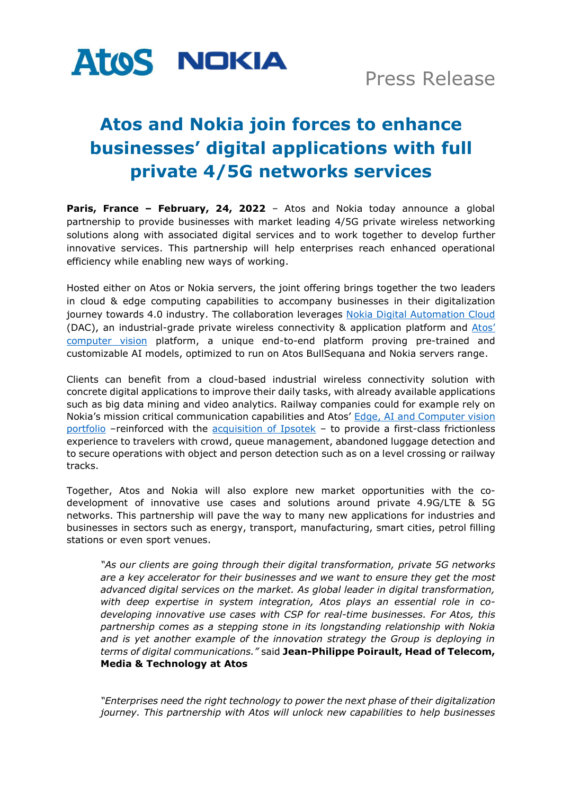

## **Atos and Nokia join forces to enhance businesses' digital applications with full private 4/5G networks services**

**Paris, France – February, 24, 2022** – Atos and Nokia today announce a global partnership to provide businesses with market leading 4/5G private wireless networking solutions along with associated digital services and to work together to develop further innovative services. This partnership will help enterprises reach enhanced operational efficiency while enabling new ways of working.

Hosted either on Atos or Nokia servers, the joint offering brings together the two leaders in cloud & edge computing capabilities to accompany businesses in their digitalization journey towards 4.0 industry. The collaboration leverages [Nokia Digital Automation Cloud](https://dac.nokia.com/) (DAC), an industrial-grade private wireless connectivity & application platform and [Atos'](https://atos.net/en/2021/press-release_2021_07_07/atos-computer-vision-platform) [computer vision](https://atos.net/en/2021/press-release_2021_07_07/atos-computer-vision-platform) platform, a unique end-to-end platform proving pre-trained and customizable AI models, optimized to run on Atos BullSequana and Nokia servers range.

Clients can benefit from a cloud-based industrial wireless connectivity solution with concrete digital applications to improve their daily tasks, with already available applications such as big data mining and video analytics. Railway companies could for example rely on Nokia's mission critical communication capabilities and Atos' Edge, AI [and Computer vision](https://atos.net/en/2021/press-release_2021_07_07/atos-computer-vision-platform)  [portfolio](https://atos.net/en/2021/press-release_2021_07_07/atos-computer-vision-platform) -reinforced with the [acquisition of Ipsotek](https://atos.net/en/2021/press-release_2021_06_01/atos-completes-acquisition-of-ipsotek) - to provide a first-class frictionless experience to travelers with crowd, queue management, abandoned luggage detection and to secure operations with object and person detection such as on a level crossing or railway tracks.

Together, Atos and Nokia will also explore new market opportunities with the codevelopment of innovative use cases and solutions around private 4.9G/LTE & 5G networks. This partnership will pave the way to many new applications for industries and businesses in sectors such as energy, transport, manufacturing, smart cities, petrol filling stations or even sport venues.

*"As our clients are going through their digital transformation, private 5G networks are a key accelerator for their businesses and we want to ensure they get the most advanced digital services on the market. As global leader in digital transformation, with deep expertise in system integration, Atos plays an essential role in codeveloping innovative use cases with CSP for real-time businesses. For Atos, this partnership comes as a stepping stone in its longstanding relationship with Nokia and is yet another example of the innovation strategy the Group is deploying in terms of digital communications."* said **Jean-Philippe Poirault, Head of Telecom, Media & Technology at Atos**

*"Enterprises need the right technology to power the next phase of their digitalization journey. This partnership with Atos will unlock new capabilities to help businesses*